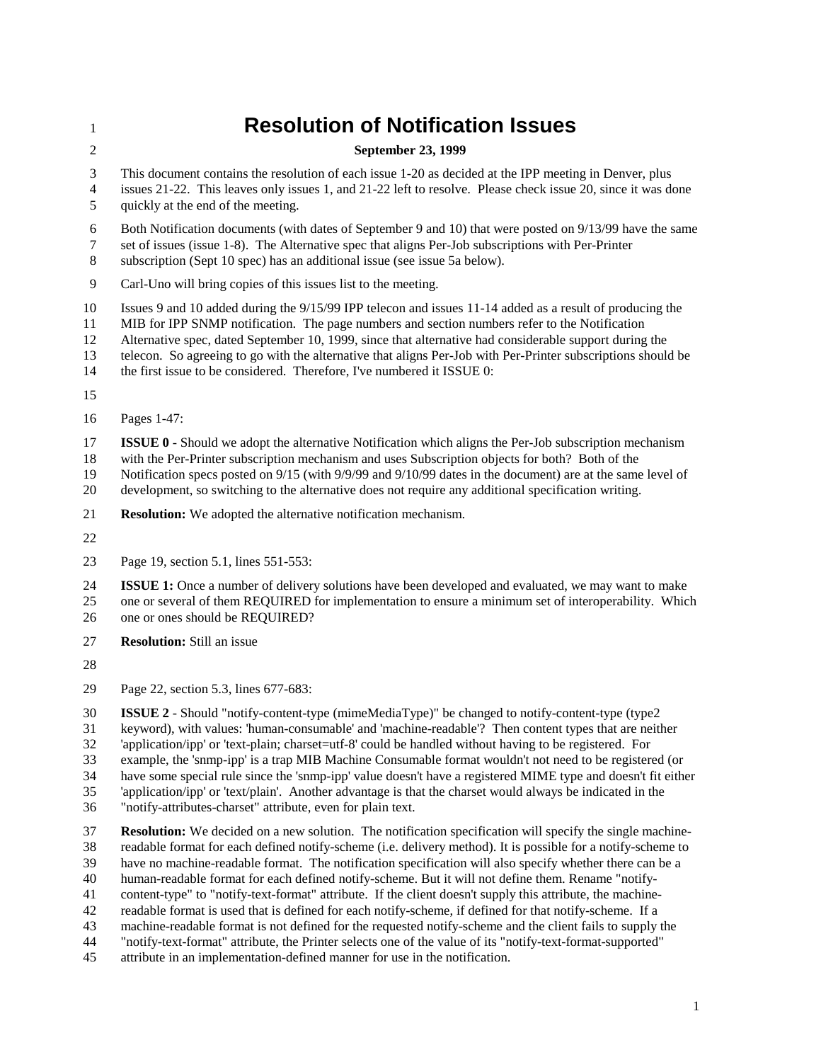## **Resolution of Notification Issues**

## **September 23, 1999**

This document contains the resolution of each issue 1-20 as decided at the IPP meeting in Denver, plus

 issues 21-22. This leaves only issues 1, and 21-22 left to resolve. Please check issue 20, since it was done quickly at the end of the meeting.

Both Notification documents (with dates of September 9 and 10) that were posted on 9/13/99 have the same

set of issues (issue 1-8). The Alternative spec that aligns Per-Job subscriptions with Per-Printer

subscription (Sept 10 spec) has an additional issue (see issue 5a below).

Carl-Uno will bring copies of this issues list to the meeting.

Issues 9 and 10 added during the 9/15/99 IPP telecon and issues 11-14 added as a result of producing the

MIB for IPP SNMP notification. The page numbers and section numbers refer to the Notification

Alternative spec, dated September 10, 1999, since that alternative had considerable support during the

telecon. So agreeing to go with the alternative that aligns Per-Job with Per-Printer subscriptions should be

14 the first issue to be considered. Therefore, I've numbered it ISSUE 0:

Pages 1-47:

**ISSUE 0** - Should we adopt the alternative Notification which aligns the Per-Job subscription mechanism

with the Per-Printer subscription mechanism and uses Subscription objects for both? Both of the

Notification specs posted on 9/15 (with 9/9/99 and 9/10/99 dates in the document) are at the same level of

development, so switching to the alternative does not require any additional specification writing.

**Resolution:** We adopted the alternative notification mechanism.

Page 19, section 5.1, lines 551-553:

 **ISSUE 1:** Once a number of delivery solutions have been developed and evaluated, we may want to make one or several of them REQUIRED for implementation to ensure a minimum set of interoperability. Which one or ones should be REQUIRED?

**Resolution:** Still an issue

Page 22, section 5.3, lines 677-683:

 **ISSUE 2** - Should "notify-content-type (mimeMediaType)" be changed to notify-content-type (type2 keyword), with values: 'human-consumable' and 'machine-readable'? Then content types that are neither 'application/ipp' or 'text-plain; charset=utf-8' could be handled without having to be registered. For example, the 'snmp-ipp' is a trap MIB Machine Consumable format wouldn't not need to be registered (or have some special rule since the 'snmp-ipp' value doesn't have a registered MIME type and doesn't fit either 'application/ipp' or 'text/plain'. Another advantage is that the charset would always be indicated in the "notify-attributes-charset" attribute, even for plain text.

 **Resolution:** We decided on a new solution. The notification specification will specify the single machine- readable format for each defined notify-scheme (i.e. delivery method). It is possible for a notify-scheme to have no machine-readable format. The notification specification will also specify whether there can be a human-readable format for each defined notify-scheme. But it will not define them. Rename "notify- content-type" to "notify-text-format" attribute. If the client doesn't supply this attribute, the machine- readable format is used that is defined for each notify-scheme, if defined for that notify-scheme. If a machine-readable format is not defined for the requested notify-scheme and the client fails to supply the "notify-text-format" attribute, the Printer selects one of the value of its "notify-text-format-supported"

attribute in an implementation-defined manner for use in the notification.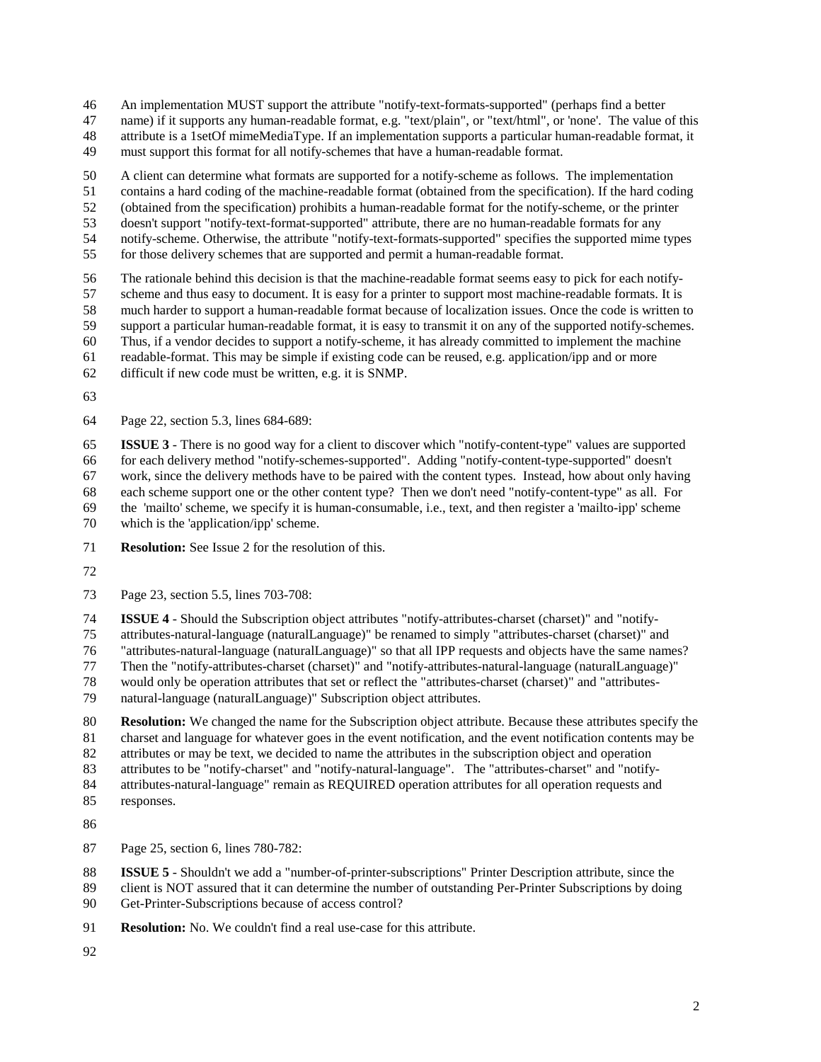An implementation MUST support the attribute "notify-text-formats-supported" (perhaps find a better

name) if it supports any human-readable format, e.g. "text/plain", or "text/html", or 'none'. The value of this

attribute is a 1setOf mimeMediaType. If an implementation supports a particular human-readable format, it

must support this format for all notify-schemes that have a human-readable format.

A client can determine what formats are supported for a notify-scheme as follows. The implementation

contains a hard coding of the machine-readable format (obtained from the specification). If the hard coding

(obtained from the specification) prohibits a human-readable format for the notify-scheme, or the printer

doesn't support "notify-text-format-supported" attribute, there are no human-readable formats for any

notify-scheme. Otherwise, the attribute "notify-text-formats-supported" specifies the supported mime types

for those delivery schemes that are supported and permit a human-readable format.

 The rationale behind this decision is that the machine-readable format seems easy to pick for each notify- scheme and thus easy to document. It is easy for a printer to support most machine-readable formats. It is much harder to support a human-readable format because of localization issues. Once the code is written to

support a particular human-readable format, it is easy to transmit it on any of the supported notify-schemes.

Thus, if a vendor decides to support a notify-scheme, it has already committed to implement the machine

readable-format. This may be simple if existing code can be reused, e.g. application/ipp and or more

difficult if new code must be written, e.g. it is SNMP.

Page 22, section 5.3, lines 684-689:

 **ISSUE 3** - There is no good way for a client to discover which "notify-content-type" values are supported for each delivery method "notify-schemes-supported". Adding "notify-content-type-supported" doesn't work, since the delivery methods have to be paired with the content types. Instead, how about only having each scheme support one or the other content type? Then we don't need "notify-content-type" as all. For the 'mailto' scheme, we specify it is human-consumable, i.e., text, and then register a 'mailto-ipp' scheme

which is the 'application/ipp' scheme.

**Resolution:** See Issue 2 for the resolution of this.

Page 23, section 5.5, lines 703-708:

**ISSUE 4** - Should the Subscription object attributes "notify-attributes-charset (charset)" and "notify-

attributes-natural-language (naturalLanguage)" be renamed to simply "attributes-charset (charset)" and

"attributes-natural-language (naturalLanguage)" so that all IPP requests and objects have the same names?

Then the "notify-attributes-charset (charset)" and "notify-attributes-natural-language (naturalLanguage)"

 would only be operation attributes that set or reflect the "attributes-charset (charset)" and "attributes-natural-language (naturalLanguage)" Subscription object attributes.

 **Resolution:** We changed the name for the Subscription object attribute. Because these attributes specify the charset and language for whatever goes in the event notification, and the event notification contents may be attributes or may be text, we decided to name the attributes in the subscription object and operation

attributes to be "notify-charset" and "notify-natural-language". The "attributes-charset" and "notify-

attributes-natural-language" remain as REQUIRED operation attributes for all operation requests and

responses.

Page 25, section 6, lines 780-782:

**ISSUE 5** - Shouldn't we add a "number-of-printer-subscriptions" Printer Description attribute, since the

client is NOT assured that it can determine the number of outstanding Per-Printer Subscriptions by doing

Get-Printer-Subscriptions because of access control?

**Resolution:** No. We couldn't find a real use-case for this attribute.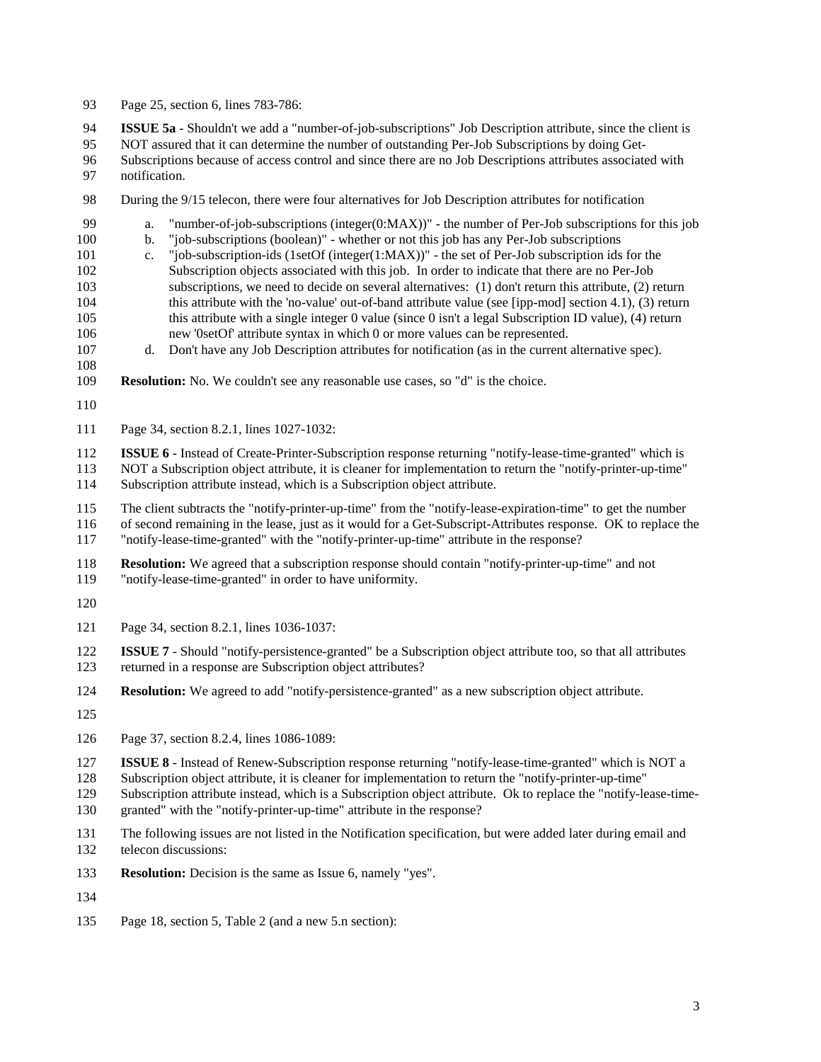- Page 25, section 6, lines 783-786: **ISSUE 5a** - Shouldn't we add a "number-of-job-subscriptions" Job Description attribute, since the client is NOT assured that it can determine the number of outstanding Per-Job Subscriptions by doing Get- Subscriptions because of access control and since there are no Job Descriptions attributes associated with notification. During the 9/15 telecon, there were four alternatives for Job Description attributes for notification a. "number-of-job-subscriptions (integer(0:MAX))" - the number of Per-Job subscriptions for this job b. "job-subscriptions (boolean)" - whether or not this job has any Per-Job subscriptions c. "job-subscription-ids (1setOf (integer(1:MAX))" - the set of Per-Job subscription ids for the Subscription objects associated with this job. In order to indicate that there are no Per-Job subscriptions, we need to decide on several alternatives: (1) don't return this attribute, (2) return
- this attribute with the 'no-value' out-of-band attribute value (see [ipp-mod] section 4.1), (3) return this attribute with a single integer 0 value (since 0 isn't a legal Subscription ID value), (4) return new '0setOf' attribute syntax in which 0 or more values can be represented.
- d. Don't have any Job Description attributes for notification (as in the current alternative spec).
- **Resolution:** No. We couldn't see any reasonable use cases, so "d" is the choice.
- 

Page 34, section 8.2.1, lines 1027-1032:

 **ISSUE 6** - Instead of Create-Printer-Subscription response returning "notify-lease-time-granted" which is NOT a Subscription object attribute, it is cleaner for implementation to return the "notify-printer-up-time" Subscription attribute instead, which is a Subscription object attribute.

 The client subtracts the "notify-printer-up-time" from the "notify-lease-expiration-time" to get the number of second remaining in the lease, just as it would for a Get-Subscript-Attributes response. OK to replace the "notify-lease-time-granted" with the "notify-printer-up-time" attribute in the response?

**Resolution:** We agreed that a subscription response should contain "notify-printer-up-time" and not

"notify-lease-time-granted" in order to have uniformity.

- 
- Page 34, section 8.2.1, lines 1036-1037:

 **ISSUE 7** - Should "notify-persistence-granted" be a Subscription object attribute too, so that all attributes returned in a response are Subscription object attributes?

- **Resolution:** We agreed to add "notify-persistence-granted" as a new subscription object attribute.
- 

Page 37, section 8.2.4, lines 1086-1089:

**ISSUE 8** - Instead of Renew-Subscription response returning "notify-lease-time-granted" which is NOT a

Subscription object attribute, it is cleaner for implementation to return the "notify-printer-up-time"

 Subscription attribute instead, which is a Subscription object attribute. Ok to replace the "notify-lease-time-granted" with the "notify-printer-up-time" attribute in the response?

 The following issues are not listed in the Notification specification, but were added later during email and telecon discussions:

**Resolution:** Decision is the same as Issue 6, namely "yes".

Page 18, section 5, Table 2 (and a new 5.n section):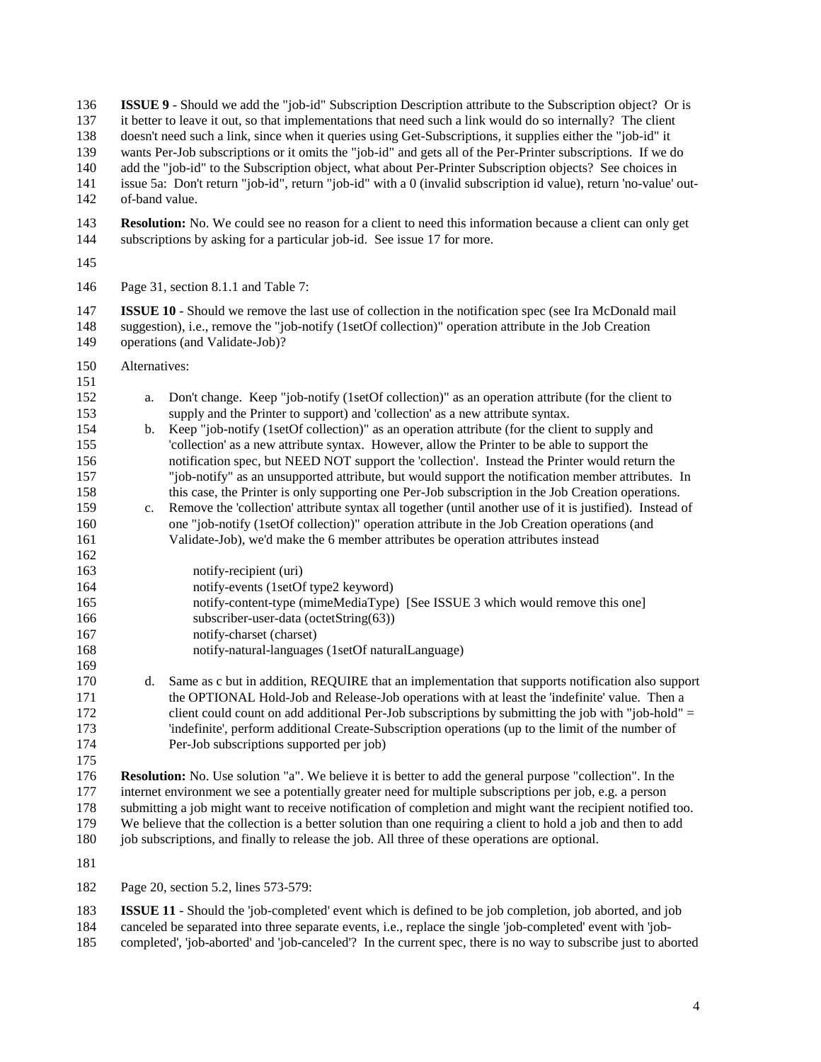**ISSUE 9** - Should we add the "job-id" Subscription Description attribute to the Subscription object? Or is it better to leave it out, so that implementations that need such a link would do so internally? The client doesn't need such a link, since when it queries using Get-Subscriptions, it supplies either the "job-id" it wants Per-Job subscriptions or it omits the "job-id" and gets all of the Per-Printer subscriptions. If we do add the "job-id" to the Subscription object, what about Per-Printer Subscription objects? See choices in issue 5a: Don't return "job-id", return "job-id" with a 0 (invalid subscription id value), return 'no-value' out- of-band value. **Resolution:** No. We could see no reason for a client to need this information because a client can only get subscriptions by asking for a particular job-id. See issue 17 for more. Page 31, section 8.1.1 and Table 7: **ISSUE 10** - Should we remove the last use of collection in the notification spec (see Ira McDonald mail suggestion), i.e., remove the "job-notify (1setOf collection)" operation attribute in the Job Creation operations (and Validate-Job)? Alternatives: a. Don't change. Keep "job-notify (1setOf collection)" as an operation attribute (for the client to supply and the Printer to support) and 'collection' as a new attribute syntax. b. Keep "job-notify (1setOf collection)" as an operation attribute (for the client to supply and 'collection' as a new attribute syntax. However, allow the Printer to be able to support the notification spec, but NEED NOT support the 'collection'. Instead the Printer would return the "job-notify" as an unsupported attribute, but would support the notification member attributes. In this case, the Printer is only supporting one Per-Job subscription in the Job Creation operations. c. Remove the 'collection' attribute syntax all together (until another use of it is justified). Instead of one "job-notify (1setOf collection)" operation attribute in the Job Creation operations (and Validate-Job), we'd make the 6 member attributes be operation attributes instead notify-recipient (uri) notify-events (1setOf type2 keyword) notify-content-type (mimeMediaType) [See ISSUE 3 which would remove this one] 166 subscriber-user-data (octetString(63)) notify-charset (charset) notify-natural-languages (1setOf naturalLanguage) d. Same as c but in addition, REQUIRE that an implementation that supports notification also support the OPTIONAL Hold-Job and Release-Job operations with at least the 'indefinite' value. Then a client could count on add additional Per-Job subscriptions by submitting the job with "job-hold" = 'indefinite', perform additional Create-Subscription operations (up to the limit of the number of Per-Job subscriptions supported per job) **Resolution:** No. Use solution "a". We believe it is better to add the general purpose "collection". In the internet environment we see a potentially greater need for multiple subscriptions per job, e.g. a person submitting a job might want to receive notification of completion and might want the recipient notified too. We believe that the collection is a better solution than one requiring a client to hold a job and then to add job subscriptions, and finally to release the job. All three of these operations are optional. Page 20, section 5.2, lines 573-579:

 **ISSUE 11** - Should the 'job-completed' event which is defined to be job completion, job aborted, and job canceled be separated into three separate events, i.e., replace the single 'job-completed' event with 'job-completed', 'job-aborted' and 'job-canceled'? In the current spec, there is no way to subscribe just to aborted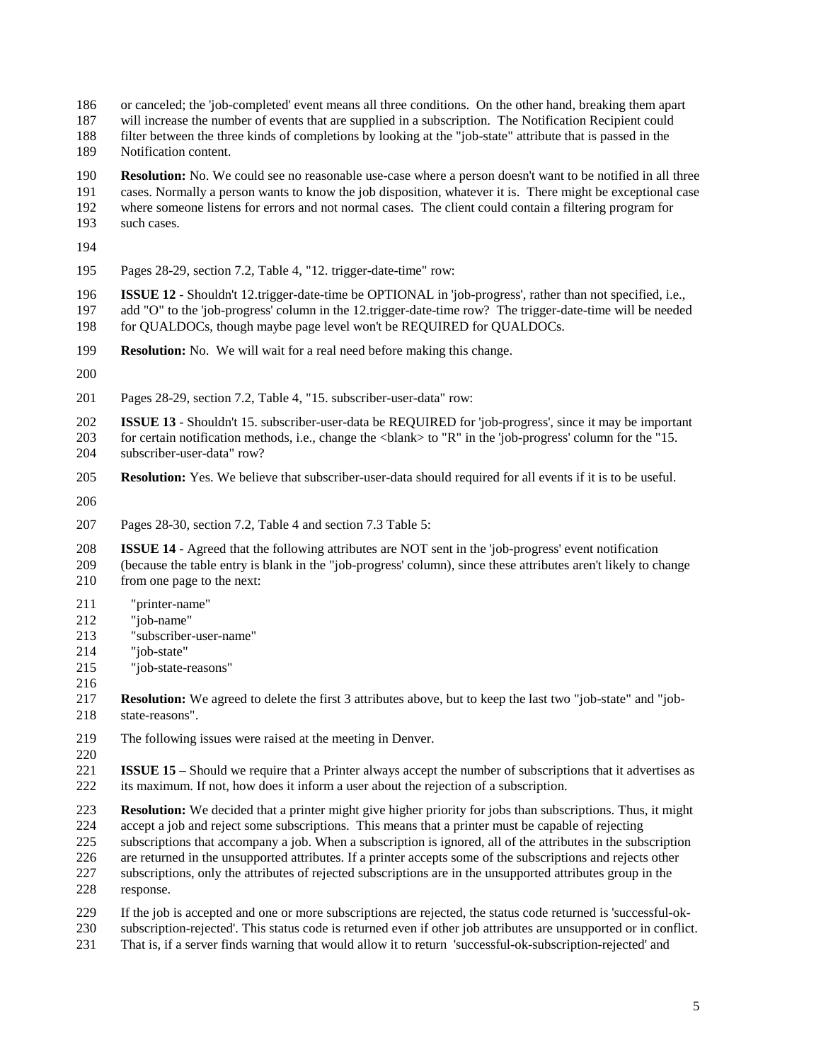- or canceled; the 'job-completed' event means all three conditions. On the other hand, breaking them apart
- will increase the number of events that are supplied in a subscription. The Notification Recipient could
- filter between the three kinds of completions by looking at the "job-state" attribute that is passed in the

Notification content.

- **Resolution:** No. We could see no reasonable use-case where a person doesn't want to be notified in all three
- cases. Normally a person wants to know the job disposition, whatever it is. There might be exceptional case
- where someone listens for errors and not normal cases. The client could contain a filtering program for
- such cases.
- 
- Pages 28-29, section 7.2, Table 4, "12. trigger-date-time" row:
- **ISSUE 12** Shouldn't 12.trigger-date-time be OPTIONAL in 'job-progress', rather than not specified, i.e.,
- add "O" to the 'job-progress' column in the 12.trigger-date-time row? The trigger-date-time will be needed for QUALDOCs, though maybe page level won't be REQUIRED for QUALDOCs.
- **Resolution:** No. We will wait for a real need before making this change.
- 
- Pages 28-29, section 7.2, Table 4, "15. subscriber-user-data" row:
- **ISSUE 13** Shouldn't 15. subscriber-user-data be REQUIRED for 'job-progress', since it may be important for certain notification methods, i.e., change the <blank> to "R" in the 'job-progress' column for the "15. subscriber-user-data" row?
- **Resolution:** Yes. We believe that subscriber-user-data should required for all events if it is to be useful.
- 
- Pages 28-30, section 7.2, Table 4 and section 7.3 Table 5:
- **ISSUE 14** Agreed that the following attributes are NOT sent in the 'job-progress' event notification (because the table entry is blank in the "job-progress' column), since these attributes aren't likely to change from one page to the next:
- 211 "printer-name"
- 212 "job-name"
- 213 "subscriber-user-name"
- 214 "job-state"
- 215 "job-state-reasons"
- 
- **Resolution:** We agreed to delete the first 3 attributes above, but to keep the last two "job-state" and "job-state-reasons".
- The following issues were raised at the meeting in Denver.
- 
- **ISSUE 15** Should we require that a Printer always accept the number of subscriptions that it advertises as its maximum. If not, how does it inform a user about the rejection of a subscription.
- **Resolution:** We decided that a printer might give higher priority for jobs than subscriptions. Thus, it might 224 accept a job and reject some subscriptions. This means that a printer must be capable of rejecting<br>225 subscriptions that accompany a job. When a subscription is ignored, all of the attributes in the subsubscriptions that accompany a job. When a subscription is ignored, all of the attributes in the subscription are returned in the unsupported attributes. If a printer accepts some of the subscriptions and rejects other subscriptions, only the attributes of rejected subscriptions are in the unsupported attributes group in the response.
- If the job is accepted and one or more subscriptions are rejected, the status code returned is 'successful-ok-subscription-rejected'. This status code is returned even if other job attributes are unsupported or in conflict.
- That is, if a server finds warning that would allow it to return 'successful-ok-subscription-rejected' and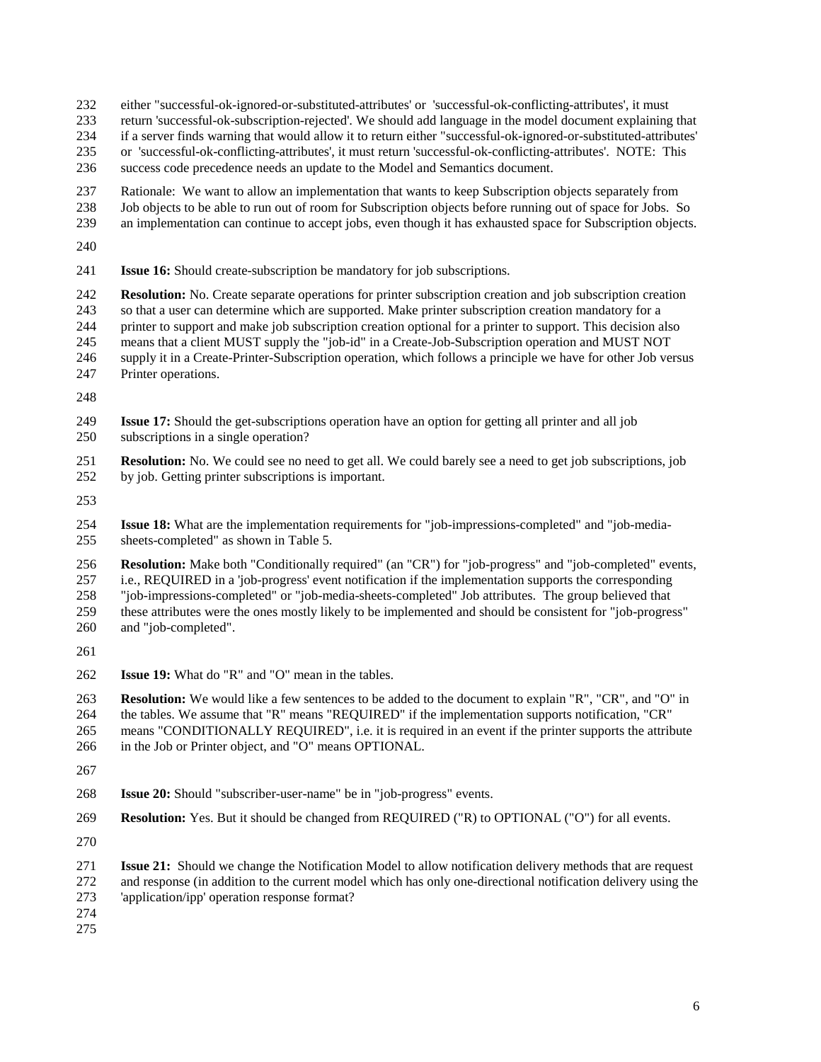either "successful-ok-ignored-or-substituted-attributes' or 'successful-ok-conflicting-attributes', it must

- return 'successful-ok-subscription-rejected'. We should add language in the model document explaining that
- if a server finds warning that would allow it to return either "successful-ok-ignored-or-substituted-attributes'
- or 'successful-ok-conflicting-attributes', it must return 'successful-ok-conflicting-attributes'. NOTE: This
- success code precedence needs an update to the Model and Semantics document.
- Rationale: We want to allow an implementation that wants to keep Subscription objects separately from
- Job objects to be able to run out of room for Subscription objects before running out of space for Jobs. So
- an implementation can continue to accept jobs, even though it has exhausted space for Subscription objects.
- 
- **Issue 16:** Should create-subscription be mandatory for job subscriptions.

 **Resolution:** No. Create separate operations for printer subscription creation and job subscription creation so that a user can determine which are supported. Make printer subscription creation mandatory for a printer to support and make job subscription creation optional for a printer to support. This decision also means that a client MUST supply the "job-id" in a Create-Job-Subscription operation and MUST NOT supply it in a Create-Printer-Subscription operation, which follows a principle we have for other Job versus

Printer operations.

- **Issue 17:** Should the get-subscriptions operation have an option for getting all printer and all job subscriptions in a single operation?
- **Resolution:** No. We could see no need to get all. We could barely see a need to get job subscriptions, job by job. Getting printer subscriptions is important.
- 

 **Issue 18:** What are the implementation requirements for "job-impressions-completed" and "job-media-sheets-completed" as shown in Table 5.

 **Resolution:** Make both "Conditionally required" (an "CR") for "job-progress" and "job-completed" events, i.e., REQUIRED in a 'job-progress' event notification if the implementation supports the corresponding "job-impressions-completed" or "job-media-sheets-completed" Job attributes. The group believed that these attributes were the ones mostly likely to be implemented and should be consistent for "job-progress" and "job-completed".

**Issue 19:** What do "R" and "O" mean in the tables.

 **Resolution:** We would like a few sentences to be added to the document to explain "R", "CR", and "O" in the tables. We assume that "R" means "REQUIRED" if the implementation supports notification, "CR"

 means "CONDITIONALLY REQUIRED", i.e. it is required in an event if the printer supports the attribute in the Job or Printer object, and "O" means OPTIONAL.

- 
- **Issue 20:** Should "subscriber-user-name" be in "job-progress" events.
- **Resolution:** Yes. But it should be changed from REQUIRED ("R) to OPTIONAL ("O") for all events.
- 
- **Issue 21:** Should we change the Notification Model to allow notification delivery methods that are request and response (in addition to the current model which has only one-directional notification delivery using the 'application/ipp' operation response format?
- 
-